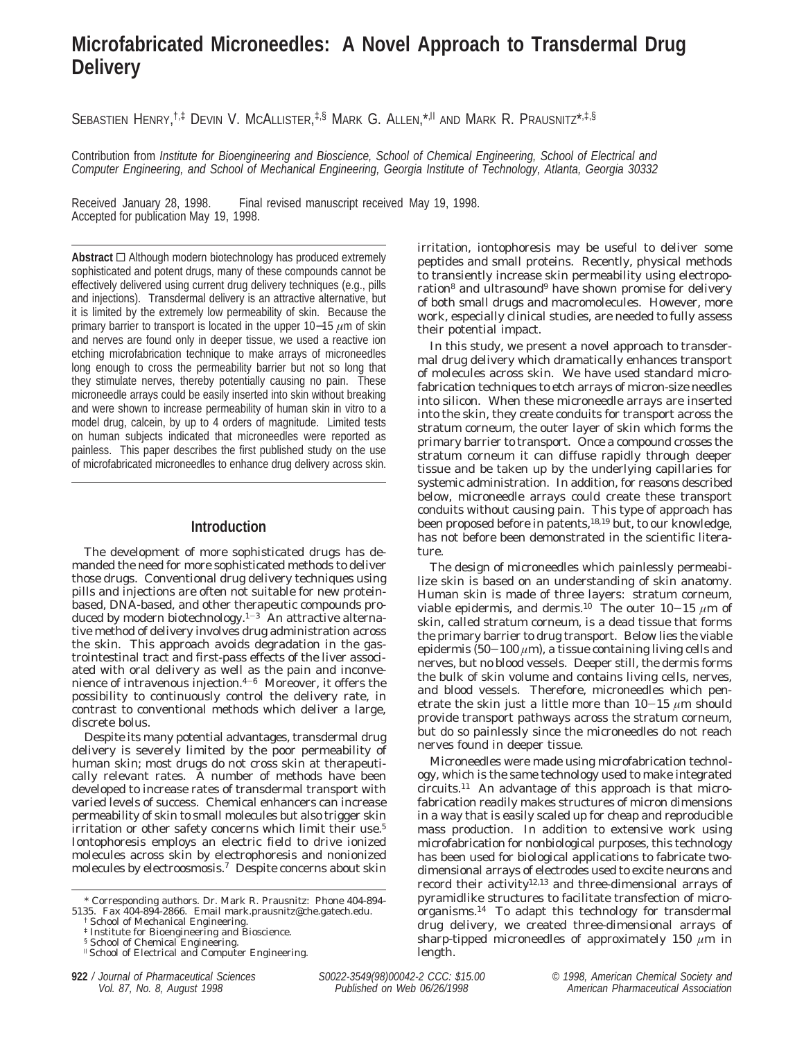# **Microfabricated Microneedles: A Novel Approach to Transdermal Drug Delivery**

Sebastien Henry,<sup>†,‡</sup> Devin V. McAllister,<sup>‡,§</sup> Mark G. Allen,\*<sup>,i|</sup> and Mark R. Prausnitz\*<sup>,‡,§</sup>

Contribution from *Institute for Bioengineering and Bioscience, School of Chemical Engineering, School of Electrical and Computer Engineering, and School of Mechanical Engineering, Georgia Institute of Technology, Atlanta, Georgia 30332*

Received January 28, 1998. Final revised manuscript received May 19, 1998. Accepted for publication May 19, 1998.

**Abstract** □ Although modern biotechnology has produced extremely sophisticated and potent drugs, many of these compounds cannot be effectively delivered using current drug delivery techniques (e.g., pills and injections). Transdermal delivery is an attractive alternative, but it is limited by the extremely low permeability of skin. Because the primary barrier to transport is located in the upper 10−15 *µ*m of skin and nerves are found only in deeper tissue, we used a reactive ion etching microfabrication technique to make arrays of microneedles long enough to cross the permeability barrier but not so long that they stimulate nerves, thereby potentially causing no pain. These microneedle arrays could be easily inserted into skin without breaking and were shown to increase permeability of human skin in vitro to a model drug, calcein, by up to 4 orders of magnitude. Limited tests on human subjects indicated that microneedles were reported as painless. This paper describes the first published study on the use of microfabricated microneedles to enhance drug delivery across skin.

## **Introduction**

The development of more sophisticated drugs has demanded the need for more sophisticated methods to deliver those drugs. Conventional drug delivery techniques using pills and injections are often not suitable for new proteinbased, DNA-based, and other therapeutic compounds produced by modern biotechnology.<sup>1-3</sup> An attractive alternative method of delivery involves drug administration across the skin. This approach avoids degradation in the gastrointestinal tract and first-pass effects of the liver associated with oral delivery as well as the pain and inconvenience of intravenous injection. $4-6$  Moreover, it offers the possibility to continuously control the delivery rate, in contrast to conventional methods which deliver a large, discrete bolus.

Despite its many potential advantages, transdermal drug delivery is severely limited by the poor permeability of human skin; most drugs do not cross skin at therapeutically relevant rates. A number of methods have been developed to increase rates of transdermal transport with varied levels of success. Chemical enhancers can increase permeability of skin to small molecules but also trigger skin irritation or other safety concerns which limit their use.<sup>5</sup> Iontophoresis employs an electric field to drive ionized molecules across skin by electrophoresis and nonionized molecules by electroosmosis.<sup>7</sup> Despite concerns about skin

irritation, iontophoresis may be useful to deliver some peptides and small proteins. Recently, physical methods to transiently increase skin permeability using electroporation<sup>8</sup> and ultrasound<sup>9</sup> have shown promise for delivery of both small drugs and macromolecules. However, more work, especially clinical studies, are needed to fully assess their potential impact.

In this study, we present a novel approach to transdermal drug delivery which dramatically enhances transport of molecules across skin. We have used standard microfabrication techniques to etch arrays of micron-size needles into silicon. When these microneedle arrays are inserted into the skin, they create conduits for transport across the stratum corneum, the outer layer of skin which forms the primary barrier to transport. Once a compound crosses the stratum corneum it can diffuse rapidly through deeper tissue and be taken up by the underlying capillaries for systemic administration. In addition, for reasons described below, microneedle arrays could create these transport conduits without causing pain. This type of approach has been proposed before in patents,18,19 but, to our knowledge, has not before been demonstrated in the scientific literature.

The design of microneedles which painlessly permeabilize skin is based on an understanding of skin anatomy. Human skin is made of three layers: stratum corneum, viable epidermis, and dermis.<sup>10</sup> The outer  $10-15 \mu m$  of skin, called stratum corneum, is a dead tissue that forms the primary barrier to drug transport. Below lies the viable epidermis (50-100  $\mu$ m), a tissue containing living cells and nerves, but no blood vessels. Deeper still, the dermis forms the bulk of skin volume and contains living cells, nerves, and blood vessels. Therefore, microneedles which penetrate the skin just a little more than  $10-15 \mu m$  should provide transport pathways across the stratum corneum, but do so painlessly since the microneedles do not reach nerves found in deeper tissue.

Microneedles were made using microfabrication technology, which is the same technology used to make integrated circuits.11 An advantage of this approach is that microfabrication readily makes structures of micron dimensions in a way that is easily scaled up for cheap and reproducible mass production. In addition to extensive work using microfabrication for nonbiological purposes, this technology has been used for biological applications to fabricate twodimensional arrays of electrodes used to excite neurons and record their activity<sup>12,13</sup> and three-dimensional arrays of pyramidlike structures to facilitate transfection of microorganisms. $^{14}$  To adapt this technology for transdermal drug delivery, we created three-dimensional arrays of sharp-tipped microneedles of approximately 150 *µ*m in length.

<sup>\*</sup> Corresponding authors. Dr. Mark R. Prausnitz: Phone 404-894- 5135. Fax 404-894-2866. Email mark.prausnitz@che.gatech.edu.

School of Mechanical Engineering. ‡ Institute for Bioengineering and Bioscience.

<sup>§</sup> School of Chemical Engineering. | School of Electrical and Computer Engineering.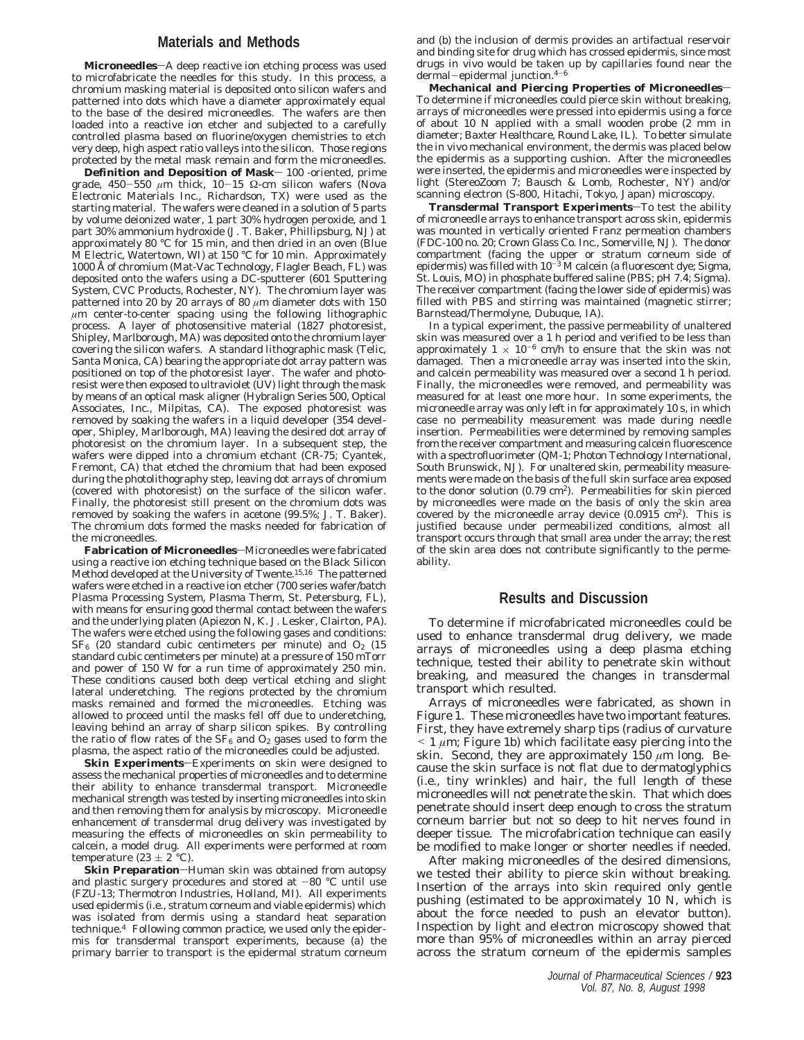## **Materials and Methods**

Microneedles-A deep reactive ion etching process was used to microfabricate the needles for this study. In this process, a chromium masking material is deposited onto silicon wafers and patterned into dots which have a diameter approximately equal to the base of the desired microneedles. The wafers are then loaded into a reactive ion etcher and subjected to a carefully controlled plasma based on fluorine/oxygen chemistries to etch very deep, high aspect ratio valleys into the silicon. Those regions protected by the metal mask remain and form the microneedles.

**Definition and Deposition of Mask-** $\langle 100 \rangle$ -oriented, prime grade, 450-<sup>550</sup> *<sup>µ</sup>*m thick, 10-<sup>15</sup> <sup>Ω</sup>-cm silicon wafers (Nova Electronic Materials Inc., Richardson, TX) were used as the starting material. The wafers were cleaned in a solution of 5 parts by volume deionized water, 1 part 30% hydrogen peroxide, and 1 part 30% ammonium hydroxide (J. T. Baker, Phillipsburg, NJ) at approximately 80 °C for 15 min, and then dried in an oven (Blue M Electric, Watertown, WI) at 150 °C for 10 min. Approximately 1000 Å of chromium (Mat-Vac Technology, Flagler Beach, FL) was deposited onto the wafers using a DC-sputterer (601 Sputtering System, CVC Products, Rochester, NY). The chromium layer was patterned into 20 by 20 arrays of 80 *µ*m diameter dots with 150 *µ*m center-to-center spacing using the following lithographic process. A layer of photosensitive material (1827 photoresist, Shipley, Marlborough, MA) was deposited onto the chromium layer covering the silicon wafers. A standard lithographic mask (Telic, Santa Monica, CA) bearing the appropriate dot array pattern was positioned on top of the photoresist layer. The wafer and photoresist were then exposed to ultraviolet (UV) light through the mask by means of an optical mask aligner (Hybralign Series 500, Optical Associates, Inc., Milpitas, CA). The exposed photoresist was removed by soaking the wafers in a liquid developer (354 developer, Shipley, Marlborough, MA) leaving the desired dot array of photoresist on the chromium layer. In a subsequent step, the wafers were dipped into a chromium etchant (CR-75; Cyantek, Fremont, CA) that etched the chromium that had been exposed during the photolithography step, leaving dot arrays of chromium (covered with photoresist) on the surface of the silicon wafer. Finally, the photoresist still present on the chromium dots was removed by soaking the wafers in acetone (99.5%; J. T. Baker). The chromium dots formed the masks needed for fabrication of the microneedles.

Fabrication of Microneedles-Microneedles were fabricated using a reactive ion etching technique based on the Black Silicon Method developed at the University of Twente.15,16 The patterned wafers were etched in a reactive ion etcher (700 series wafer/batch Plasma Processing System, Plasma Therm, St. Petersburg, FL), with means for ensuring good thermal contact between the wafers and the underlying platen (Apiezon N, K. J. Lesker, Clairton, PA). The wafers were etched using the following gases and conditions:  $SF<sub>6</sub>$  (20 standard cubic centimeters per minute) and  $O<sub>2</sub>$  (15 standard cubic centimeters per minute) at a pressure of 150 mTorr and power of 150 W for a run time of approximately 250 min. These conditions caused both deep vertical etching and slight lateral underetching. The regions protected by the chromium masks remained and formed the microneedles. Etching was allowed to proceed until the masks fell off due to underetching, leaving behind an array of sharp silicon spikes. By controlling the ratio of flow rates of the  $SF_6$  and  $O_2$  gases used to form the plasma, the aspect ratio of the microneedles could be adjusted.

Skin Experiments-Experiments on skin were designed to assess the mechanical properties of microneedles and to determine their ability to enhance transdermal transport. Microneedle mechanical strength was tested by inserting microneedles into skin and then removing them for analysis by microscopy. Microneedle enhancement of transdermal drug delivery was investigated by measuring the effects of microneedles on skin permeability to calcein, a model drug. All experiments were performed at room temperature (23  $\pm$  2 °C).

**Skin Preparation-Human skin was obtained from autopsy** and plastic surgery procedures and stored at  $-80$  °C until use (FZU-13; Thermotron Industries, Holland, MI). All experiments used epidermis (i.e., stratum corneum and viable epidermis) which was isolated from dermis using a standard heat separation technique.4 Following common practice, we used only the epidermis for transdermal transport experiments, because (a) the primary barrier to transport is the epidermal stratum corneum

and (b) the inclusion of dermis provides an artifactual reservoir and binding site for drug which has crossed epidermis, since most drugs in vivo would be taken up by capillaries found near the dermal-epidermal junction.4-<sup>6</sup>

**Mechanical and Piercing Properties of Microneedles-**To determine if microneedles could pierce skin without breaking, arrays of microneedles were pressed into epidermis using a force of about 10 N applied with a small wooden probe (2 mm in diameter; Baxter Healthcare, Round Lake, IL). To better simulate the in vivo mechanical environment, the dermis was placed below the epidermis as a supporting cushion. After the microneedles were inserted, the epidermis and microneedles were inspected by light (StereoZoom 7; Bausch & Lomb, Rochester, NY) and/or scanning electron (S-800, Hitachi, Tokyo, Japan) microscopy.

Transdermal Transport Experiments-To test the ability of microneedle arrays to enhance transport across skin, epidermis was mounted in vertically oriented Franz permeation chambers (FDC-100 no. 20; Crown Glass Co. Inc., Somerville, NJ). The donor compartment (facing the upper or stratum corneum side of epidermis) was filled with  $10^{-3}$  M calcein (a fluorescent dye; Sigma, St. Louis, MO) in phosphate buffered saline (PBS; pH 7.4; Sigma). The receiver compartment (facing the lower side of epidermis) was filled with PBS and stirring was maintained (magnetic stirrer; Barnstead/Thermolyne, Dubuque, IA).

In a typical experiment, the passive permeability of unaltered skin was measured over a 1 h period and verified to be less than approximately  $1 \times 10^{-6}$  cm/h to ensure that the skin was not damaged. Then a microneedle array was inserted into the skin, and calcein permeability was measured over a second 1 h period. Finally, the microneedles were removed, and permeability was measured for at least one more hour. In some experiments, the microneedle array was only left in for approximately 10 s, in which case no permeability measurement was made during needle insertion. Permeabilities were determined by removing samples from the receiver compartment and measuring calcein fluorescence with a spectrofluorimeter (QM-1; Photon Technology International, South Brunswick, NJ). For unaltered skin, permeability measurements were made on the basis of the full skin surface area exposed to the donor solution (0.79 cm2). Permeabilities for skin pierced by microneedles were made on the basis of only the skin area covered by the microneedle array device (0.0915 cm2). This is justified because under permeabilized conditions, almost all transport occurs through that small area under the array; the rest of the skin area does not contribute significantly to the permeability.

#### **Results and Discussion**

To determine if microfabricated microneedles could be used to enhance transdermal drug delivery, we made arrays of microneedles using a deep plasma etching technique, tested their ability to penetrate skin without breaking, and measured the changes in transdermal transport which resulted.

Arrays of microneedles were fabricated, as shown in Figure 1. These microneedles have two important features. First, they have extremely sharp tips (radius of curvature < <sup>1</sup> *<sup>µ</sup>*m; Figure 1b) which facilitate easy piercing into the skin. Second, they are approximately 150  $\mu$ m long. Because the skin surface is not flat due to dermatoglyphics (i.e., tiny wrinkles) and hair, the full length of these microneedles will not penetrate the skin. That which does penetrate should insert deep enough to cross the stratum corneum barrier but not so deep to hit nerves found in deeper tissue. The microfabrication technique can easily be modified to make longer or shorter needles if needed.

After making microneedles of the desired dimensions, we tested their ability to pierce skin without breaking. Insertion of the arrays into skin required only gentle pushing (estimated to be approximately 10 N, which is about the force needed to push an elevator button). Inspection by light and electron microscopy showed that more than 95% of microneedles within an array pierced across the stratum corneum of the epidermis samples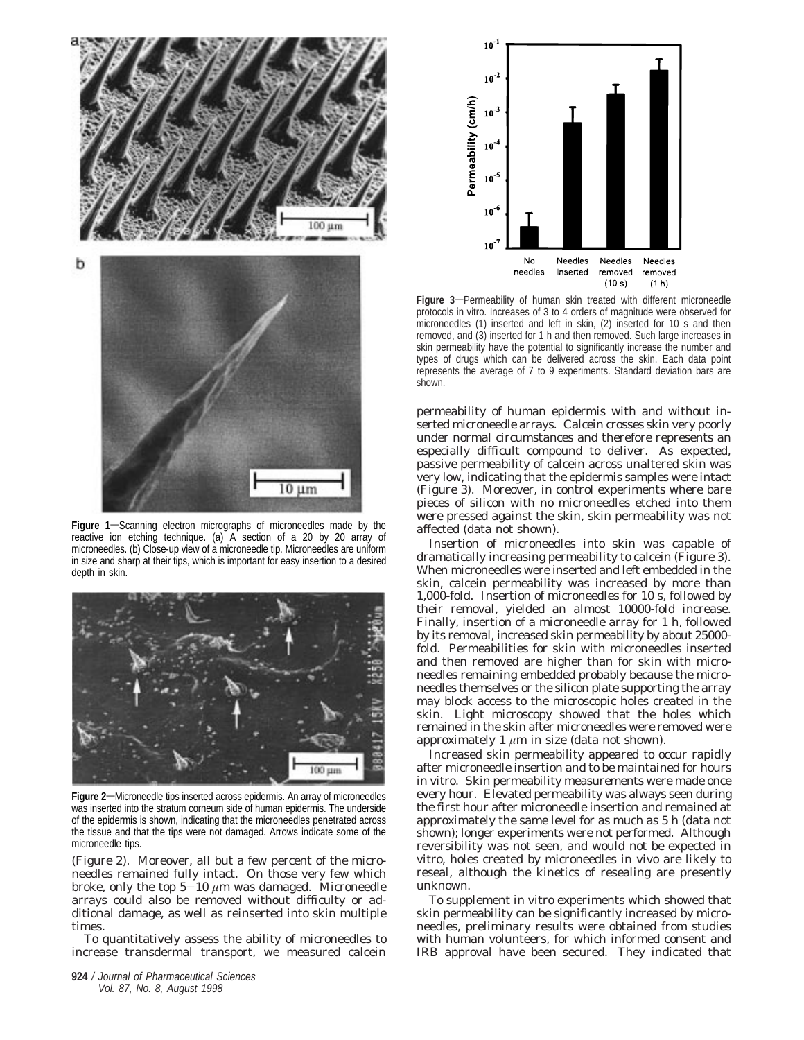

Figure 1-Scanning electron micrographs of microneedles made by the reactive ion etching technique. (a) A section of a 20 by 20 array of microneedles. (b) Close-up view of a microneedle tip. Microneedles are uniform in size and sharp at their tips, which is important for easy insertion to a desired depth in skin.



Figure 2-Microneedle tips inserted across epidermis. An array of microneedles was inserted into the stratum corneum side of human epidermis. The underside of the epidermis is shown, indicating that the microneedles penetrated across the tissue and that the tips were not damaged. Arrows indicate some of the microneedle tips.

(Figure 2). Moreover, all but a few percent of the microneedles remained fully intact. On those very few which broke, only the top 5-<sup>10</sup> *<sup>µ</sup>*m was damaged. Microneedle arrays could also be removed without difficulty or additional damage, as well as reinserted into skin multiple times.

To quantitatively assess the ability of microneedles to increase transdermal transport, we measured calcein



Figure 3-Permeability of human skin treated with different microneedle protocols in vitro. Increases of 3 to 4 orders of magnitude were observed for microneedles (1) inserted and left in skin, (2) inserted for 10 s and then removed, and (3) inserted for 1 h and then removed. Such large increases in skin permeability have the potential to significantly increase the number and types of drugs which can be delivered across the skin. Each data point represents the average of 7 to 9 experiments. Standard deviation bars are shown.

permeability of human epidermis with and without inserted microneedle arrays. Calcein crosses skin very poorly under normal circumstances and therefore represents an especially difficult compound to deliver. As expected, passive permeability of calcein across unaltered skin was very low, indicating that the epidermis samples were intact (Figure 3). Moreover, in control experiments where bare pieces of silicon with no microneedles etched into them were pressed against the skin, skin permeability was not affected (data not shown).

Insertion of microneedles into skin was capable of dramatically increasing permeability to calcein (Figure 3). When microneedles were inserted and left embedded in the skin, calcein permeability was increased by more than 1,000-fold. Insertion of microneedles for 10 s, followed by their removal, yielded an almost 10000-fold increase. Finally, insertion of a microneedle array for 1 h, followed by its removal, increased skin permeability by about 25000 fold. Permeabilities for skin with microneedles inserted and then removed are higher than for skin with microneedles remaining embedded probably because the microneedles themselves or the silicon plate supporting the array may block access to the microscopic holes created in the skin. Light microscopy showed that the holes which remained in the skin after microneedles were removed were approximately 1 *µ*m in size (data not shown).

Increased skin permeability appeared to occur rapidly after microneedle insertion and to be maintained for hours in vitro. Skin permeability measurements were made once every hour. Elevated permeability was always seen during the first hour after microneedle insertion and remained at approximately the same level for as much as 5 h (data not shown); longer experiments were not performed. Although reversibility was not seen, and would not be expected in vitro, holes created by microneedles in vivo are likely to reseal, although the kinetics of resealing are presently unknown.

To supplement in vitro experiments which showed that skin permeability can be significantly increased by microneedles, preliminary results were obtained from studies with human volunteers, for which informed consent and IRB approval have been secured. They indicated that